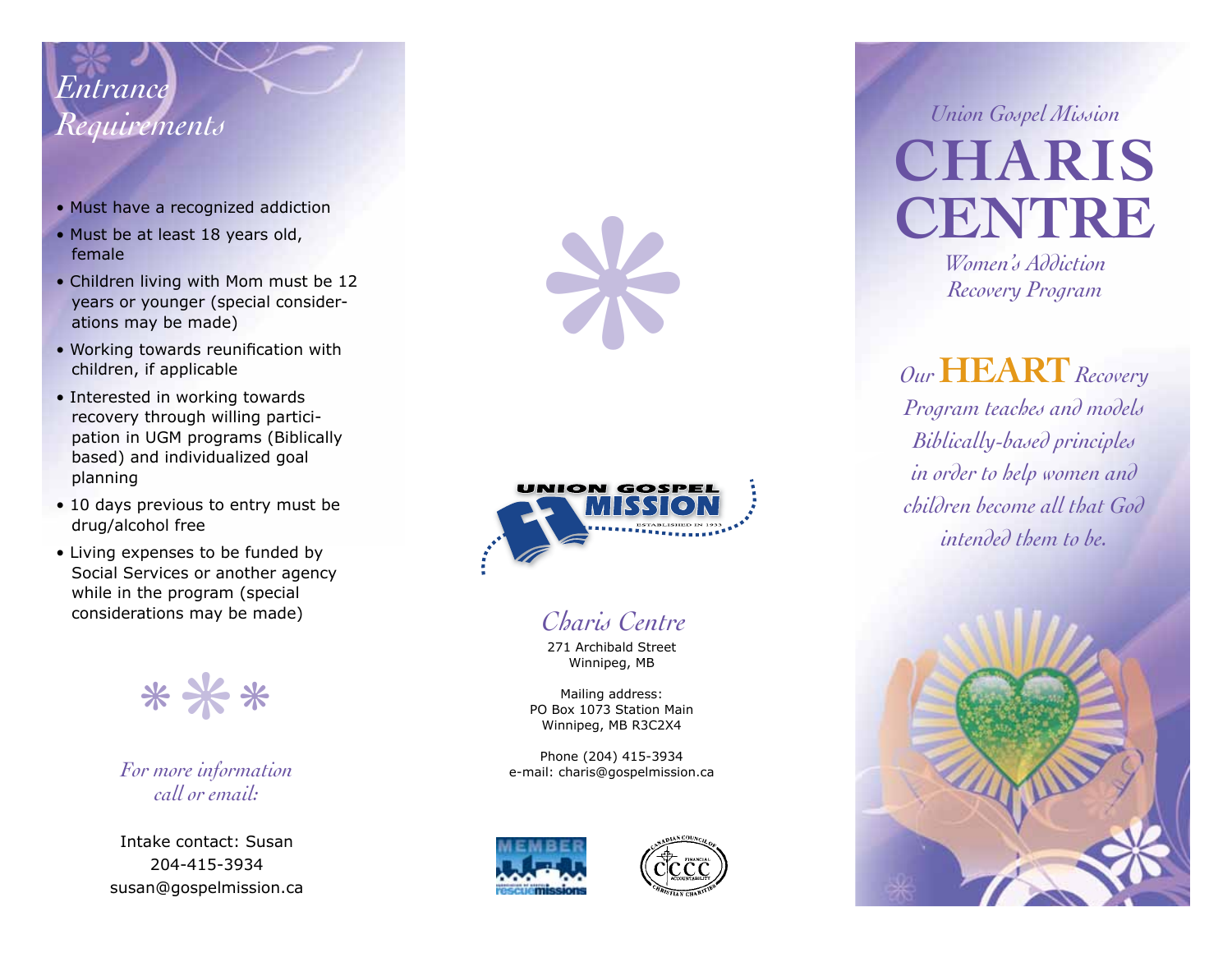## *Entrance*

- Must have a recognized addiction
- Must be at least 18 years old, female
- Children living with Mom must be 12 years or younger (special consider ations may be made)
- Working towards reunification with children, if applicable
- Interested in working towards recovery through willing partici pation in UGM programs (Biblically based) and individualized goal planning
- 10 days previous to entry must be drug/alcohol free
- Living expenses to be funded by Social Services or another agency while in the program (special considerations may be made)

❋ ❋ ❋

*For more information call or email:*

Intake contact: Susan 204-415-3934 susan@gospelmission.ca





## *Charis Centre*

271 Archibald Street Winnipeg, MB

Mailing address: PO Box 1073 Station Main Winnipeg, MB R3C2X4

Phone (204) 415-3934 e-mail: charis@gospelmission.ca





*Requirements Union Gospel Mission* **CHARIS CENTRE**

*Women's Addiction*

*Our* **HEART***Recovery Program teaches and models Biblically-based principles in order to help women and children become all that God intended them to be.*